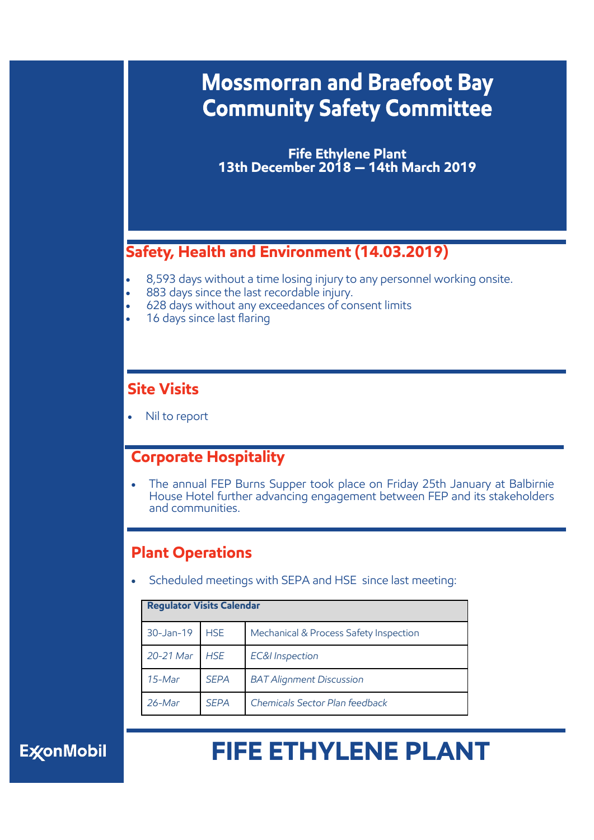## **Mossmorran and Braefoot Bay Community Safety Committee**

**Fife Ethylene Plant 13th December 2018 — 14th March 2019**

### **Safety, Health and Environment (14.03.2019)**

- 8,593 days without a time losing injury to any personnel working onsite.
- 883 days since the last recordable injury.
- 628 days without any exceedances of consent limits
- 16 days since last flaring

#### **Site Visits**

Nil to report

#### **Corporate Hospitality**

 The annual FEP Burns Supper took place on Friday 25th January at Balbirnie House Hotel further advancing engagement between FEP and its stakeholders and communities.

#### **Plant Operations**

Scheduled meetings with SEPA and HSE since last meeting:

|            | <b>Regulator Visits Calendar</b> |                                        |  |
|------------|----------------------------------|----------------------------------------|--|
| 30-Jan-19  | <b>HSE</b>                       | Mechanical & Process Safety Inspection |  |
| 20-21 Mar  | <b>HSF</b>                       | <b>EC&amp;I</b> Inspection             |  |
| $15$ -Mar  | <b>SEPA</b>                      | <b>BAT Alignment Discussion</b>        |  |
| $26 - Mar$ | <b>SFPA</b>                      | Chemicals Sector Plan feedback         |  |

## **ExconMobil**

# **FIFE ETHYLENE PLANT**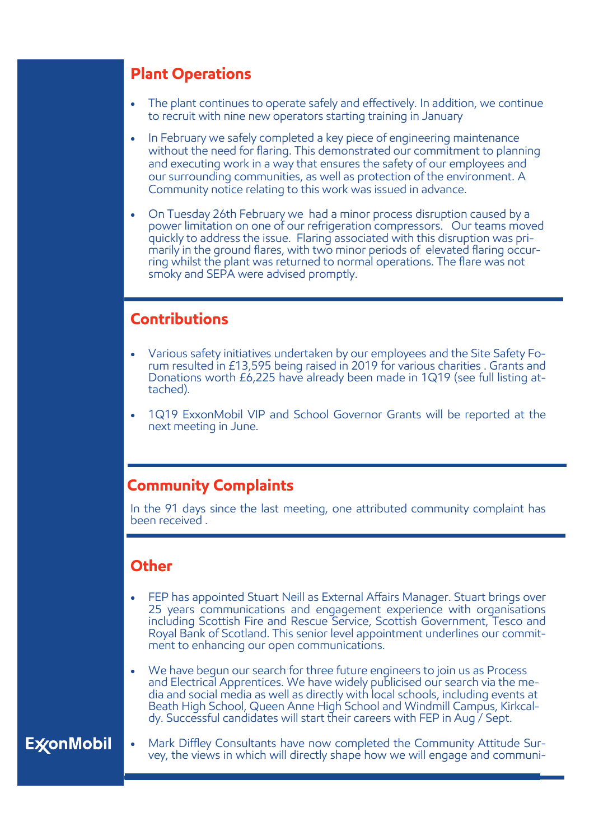#### **Plant Operations**

- The plant continues to operate safely and effectively. In addition, we continue to recruit with nine new operators starting training in January
- In February we safely completed a key piece of engineering maintenance without the need for flaring. This demonstrated our commitment to planning and executing work in a way that ensures the safety of our employees and our surrounding communities, as well as protection of the environment. A Community notice relating to this work was issued in advance.
- On Tuesday 26th February we had a minor process disruption caused by a power limitation on one of our refrigeration compressors. Our teams moved quickly to address the issue. Flaring associated with this disruption was primarily in the ground flares, with two minor periods of elevated flaring occurring whilst the plant was returned to normal operations. The flare was not smoky and SEPA were advised promptly.

#### **Contributions**

- Various safety initiatives undertaken by our employees and the Site Safety Forum resulted in £13,595 being raised in 2019 for various charities . Grants and Donations worth £6,225 have already been made in 1Q19 (see full listing attached).
- 1Q19 ExxonMobil VIP and School Governor Grants will be reported at the next meeting in June.

#### **Community Complaints**

In the 91 days since the last meeting, one attributed community complaint has been received .

#### **Other**

- FEP has appointed Stuart Neill as External Affairs Manager. Stuart brings over 25 years communications and engagement experience with organisations including Scottish Fire and Rescue Service, Scottish Government, Tesco and Royal Bank of Scotland. This senior level appointment underlines our commitment to enhancing our open communications.
- We have begun our search for three future engineers to join us as Process and Electrical Apprentices. We have widely publicised our search via the media and social media as well as directly with local schools, including events at Beath High School, Queen Anne High School and Windmill Campus, Kirkcaldy. Successful candidates will start their careers with FEP in Aug / Sept.

### **ExconMobil**

 Mark Diffley Consultants have now completed the Community Attitude Survey, the views in which will directly shape how we will engage and communi-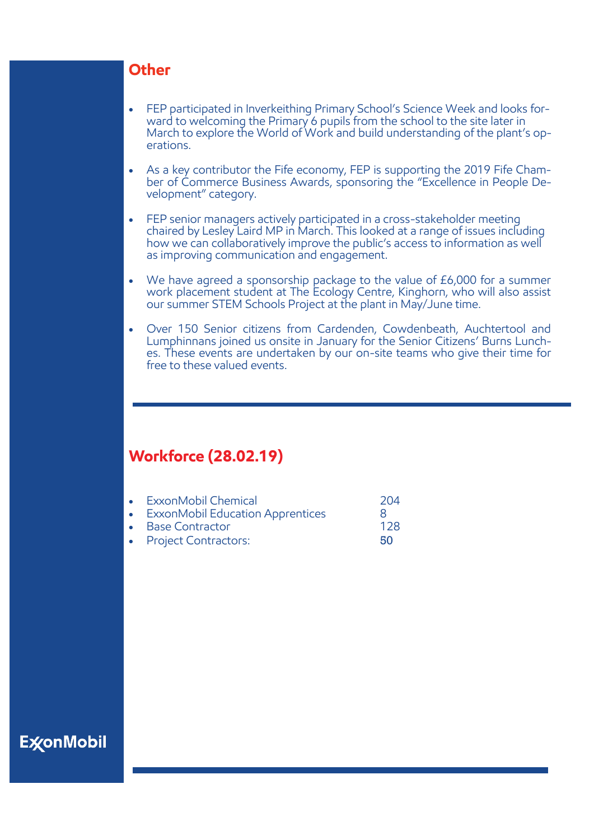#### **Other**

- FEP participated in Inverkeithing Primary School's Science Week and looks forward to welcoming the Primary 6 pupils from the school to the site later in March to explore the World of Work and build understanding of the plant's operations.
- As a key contributor the Fife economy, FEP is supporting the 2019 Fife Chamber of Commerce Business Awards, sponsoring the "Excellence in People Development" category.
- FEP senior managers actively participated in a cross-stakeholder meeting chaired by Lesley Laird MP in March. This looked at a range of issues including how we can collaboratively improve the public's access to information as well as improving communication and engagement.
- We have agreed a sponsorship package to the value of £6,000 for a summer work placement student at The Ecology Centre, Kinghorn, who will also assist our summer STEM Schools Project at the plant in May/June time.
- Over 150 Senior citizens from Cardenden, Cowdenbeath, Auchtertool and Lumphinnans joined us onsite in January for the Senior Citizens' Burns Lunches. These events are undertaken by our on-site teams who give their time for free to these valued events.

#### **Workforce (28.02.19)**

| • ExxonMobil Chemical              | 204 |  |
|------------------------------------|-----|--|
| • ExxonMobil Education Apprentices |     |  |
| • Base Contractor                  | 128 |  |
| • Project Contractors:             | 50  |  |

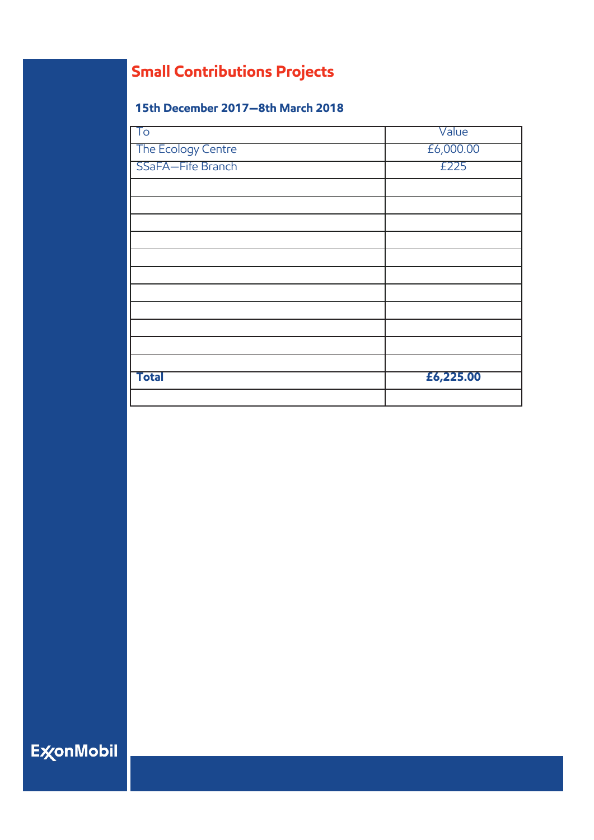## **Small Contributions Projects**

#### **15th December 2017—8th March 2018**

| $\overline{\mathsf{T}}\mathsf{O}$ | Value     |
|-----------------------------------|-----------|
| The Ecology Centre                | £6,000.00 |
| SSaFA-Fife Branch                 | £225      |
|                                   |           |
|                                   |           |
|                                   |           |
|                                   |           |
|                                   |           |
|                                   |           |
|                                   |           |
|                                   |           |
|                                   |           |
|                                   |           |
|                                   |           |
| <b>Total</b>                      | £6,225.00 |
|                                   |           |

**ExconMobil**